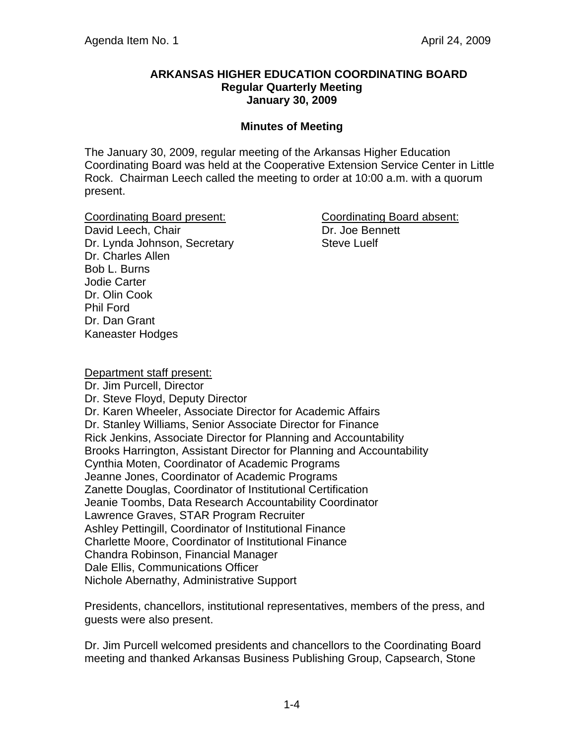#### **ARKANSAS HIGHER EDUCATION COORDINATING BOARD Regular Quarterly Meeting January 30, 2009**

#### **Minutes of Meeting**

The January 30, 2009, regular meeting of the Arkansas Higher Education Coordinating Board was held at the Cooperative Extension Service Center in Little Rock. Chairman Leech called the meeting to order at 10:00 a.m. with a quorum present.

Coordinating Board present: Coordinating Board absent: David Leech, Chair **Dr. Joe Bennett** Dr. Lynda Johnson, Secretary Steve Luelf Dr. Charles Allen Bob L. Burns Jodie Carter Dr. Olin Cook Phil Ford Dr. Dan Grant Kaneaster Hodges

Department staff present: Dr. Jim Purcell, Director Dr. Steve Floyd, Deputy Director Dr. Karen Wheeler, Associate Director for Academic Affairs Dr. Stanley Williams, Senior Associate Director for Finance Rick Jenkins, Associate Director for Planning and Accountability Brooks Harrington, Assistant Director for Planning and Accountability Cynthia Moten, Coordinator of Academic Programs Jeanne Jones, Coordinator of Academic Programs Zanette Douglas, Coordinator of Institutional Certification Jeanie Toombs, Data Research Accountability Coordinator Lawrence Graves, STAR Program Recruiter Ashley Pettingill, Coordinator of Institutional Finance Charlette Moore, Coordinator of Institutional Finance Chandra Robinson, Financial Manager Dale Ellis, Communications Officer Nichole Abernathy, Administrative Support

Presidents, chancellors, institutional representatives, members of the press, and guests were also present.

Dr. Jim Purcell welcomed presidents and chancellors to the Coordinating Board meeting and thanked Arkansas Business Publishing Group, Capsearch, Stone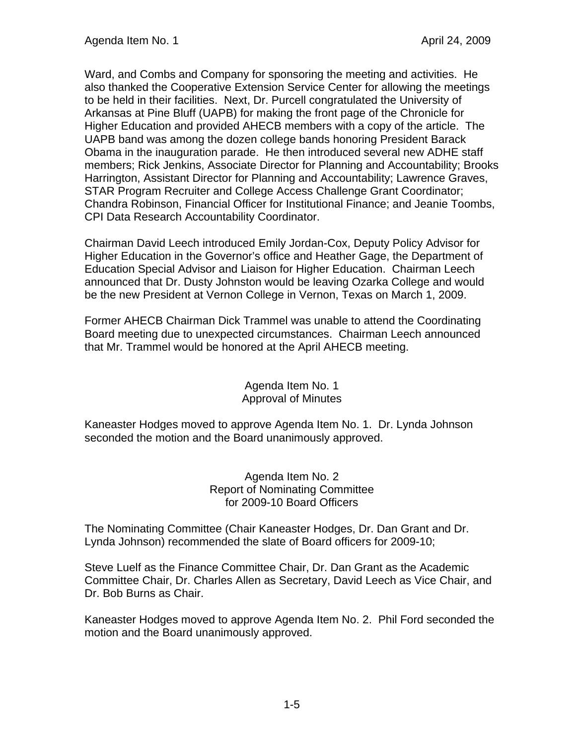Ward, and Combs and Company for sponsoring the meeting and activities. He also thanked the Cooperative Extension Service Center for allowing the meetings to be held in their facilities. Next, Dr. Purcell congratulated the University of Arkansas at Pine Bluff (UAPB) for making the front page of the Chronicle for Higher Education and provided AHECB members with a copy of the article. The UAPB band was among the dozen college bands honoring President Barack Obama in the inauguration parade. He then introduced several new ADHE staff members; Rick Jenkins, Associate Director for Planning and Accountability; Brooks Harrington, Assistant Director for Planning and Accountability; Lawrence Graves, STAR Program Recruiter and College Access Challenge Grant Coordinator; Chandra Robinson, Financial Officer for Institutional Finance; and Jeanie Toombs, CPI Data Research Accountability Coordinator.

Chairman David Leech introduced Emily Jordan-Cox, Deputy Policy Advisor for Higher Education in the Governor's office and Heather Gage, the Department of Education Special Advisor and Liaison for Higher Education. Chairman Leech announced that Dr. Dusty Johnston would be leaving Ozarka College and would be the new President at Vernon College in Vernon, Texas on March 1, 2009.

Former AHECB Chairman Dick Trammel was unable to attend the Coordinating Board meeting due to unexpected circumstances. Chairman Leech announced that Mr. Trammel would be honored at the April AHECB meeting.

#### Agenda Item No. 1 Approval of Minutes

Kaneaster Hodges moved to approve Agenda Item No. 1. Dr. Lynda Johnson seconded the motion and the Board unanimously approved.

> Agenda Item No. 2 Report of Nominating Committee for 2009-10 Board Officers

The Nominating Committee (Chair Kaneaster Hodges, Dr. Dan Grant and Dr. Lynda Johnson) recommended the slate of Board officers for 2009-10;

Steve Luelf as the Finance Committee Chair, Dr. Dan Grant as the Academic Committee Chair, Dr. Charles Allen as Secretary, David Leech as Vice Chair, and Dr. Bob Burns as Chair.

Kaneaster Hodges moved to approve Agenda Item No. 2. Phil Ford seconded the motion and the Board unanimously approved.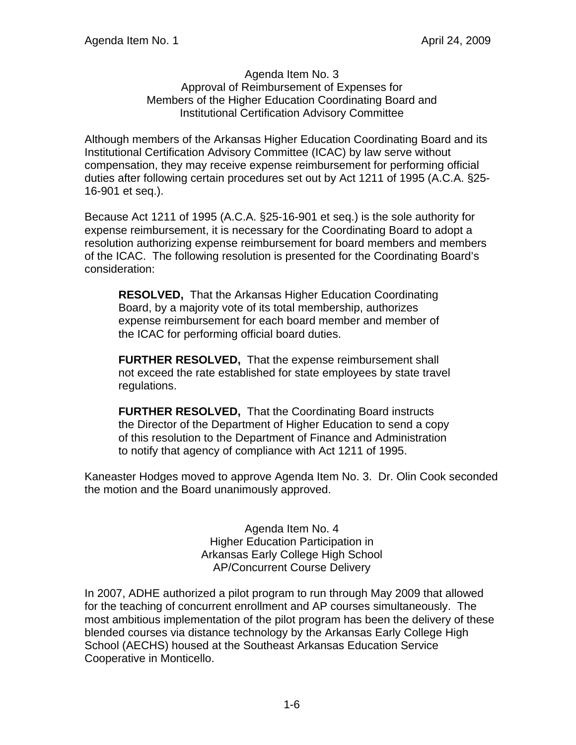#### Agenda Item No. 3 Approval of Reimbursement of Expenses for Members of the Higher Education Coordinating Board and Institutional Certification Advisory Committee

Although members of the Arkansas Higher Education Coordinating Board and its Institutional Certification Advisory Committee (ICAC) by law serve without compensation, they may receive expense reimbursement for performing official duties after following certain procedures set out by Act 1211 of 1995 (A.C.A. §25- 16-901 et seq.).

Because Act 1211 of 1995 (A.C.A. §25-16-901 et seq.) is the sole authority for expense reimbursement, it is necessary for the Coordinating Board to adopt a resolution authorizing expense reimbursement for board members and members of the ICAC. The following resolution is presented for the Coordinating Board's consideration:

**RESOLVED,** That the Arkansas Higher Education Coordinating Board, by a majority vote of its total membership, authorizes expense reimbursement for each board member and member of the ICAC for performing official board duties.

**FURTHER RESOLVED,** That the expense reimbursement shall not exceed the rate established for state employees by state travel regulations.

**FURTHER RESOLVED,** That the Coordinating Board instructs the Director of the Department of Higher Education to send a copy of this resolution to the Department of Finance and Administration to notify that agency of compliance with Act 1211 of 1995.

Kaneaster Hodges moved to approve Agenda Item No. 3. Dr. Olin Cook seconded the motion and the Board unanimously approved.

> Agenda Item No. 4 Higher Education Participation in Arkansas Early College High School AP/Concurrent Course Delivery

In 2007, ADHE authorized a pilot program to run through May 2009 that allowed for the teaching of concurrent enrollment and AP courses simultaneously. The most ambitious implementation of the pilot program has been the delivery of these blended courses via distance technology by the Arkansas Early College High School (AECHS) housed at the Southeast Arkansas Education Service Cooperative in Monticello.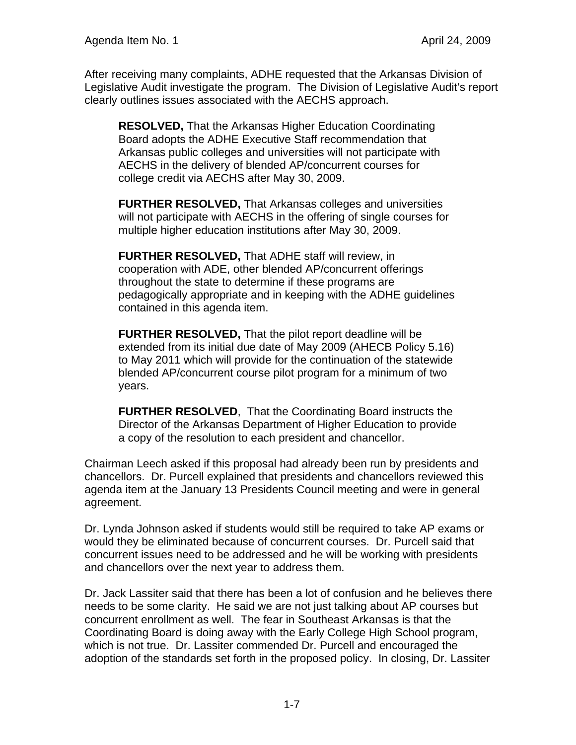After receiving many complaints, ADHE requested that the Arkansas Division of Legislative Audit investigate the program. The Division of Legislative Audit's report clearly outlines issues associated with the AECHS approach.

**RESOLVED,** That the Arkansas Higher Education Coordinating Board adopts the ADHE Executive Staff recommendation that Arkansas public colleges and universities will not participate with AECHS in the delivery of blended AP/concurrent courses for college credit via AECHS after May 30, 2009.

**FURTHER RESOLVED,** That Arkansas colleges and universities will not participate with AECHS in the offering of single courses for multiple higher education institutions after May 30, 2009.

**FURTHER RESOLVED,** That ADHE staff will review, in cooperation with ADE, other blended AP/concurrent offerings throughout the state to determine if these programs are pedagogically appropriate and in keeping with the ADHE guidelines contained in this agenda item.

**FURTHER RESOLVED,** That the pilot report deadline will be extended from its initial due date of May 2009 (AHECB Policy 5.16) to May 2011 which will provide for the continuation of the statewide blended AP/concurrent course pilot program for a minimum of two years.

**FURTHER RESOLVED**, That the Coordinating Board instructs the Director of the Arkansas Department of Higher Education to provide a copy of the resolution to each president and chancellor.

Chairman Leech asked if this proposal had already been run by presidents and chancellors. Dr. Purcell explained that presidents and chancellors reviewed this agenda item at the January 13 Presidents Council meeting and were in general agreement.

Dr. Lynda Johnson asked if students would still be required to take AP exams or would they be eliminated because of concurrent courses. Dr. Purcell said that concurrent issues need to be addressed and he will be working with presidents and chancellors over the next year to address them.

Dr. Jack Lassiter said that there has been a lot of confusion and he believes there needs to be some clarity. He said we are not just talking about AP courses but concurrent enrollment as well. The fear in Southeast Arkansas is that the Coordinating Board is doing away with the Early College High School program, which is not true. Dr. Lassiter commended Dr. Purcell and encouraged the adoption of the standards set forth in the proposed policy. In closing, Dr. Lassiter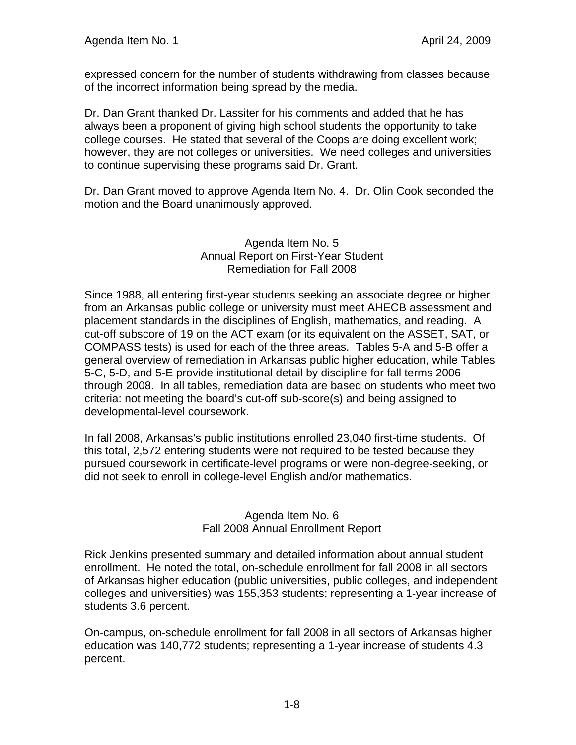expressed concern for the number of students withdrawing from classes because of the incorrect information being spread by the media.

Dr. Dan Grant thanked Dr. Lassiter for his comments and added that he has always been a proponent of giving high school students the opportunity to take college courses. He stated that several of the Coops are doing excellent work; however, they are not colleges or universities. We need colleges and universities to continue supervising these programs said Dr. Grant.

Dr. Dan Grant moved to approve Agenda Item No. 4. Dr. Olin Cook seconded the motion and the Board unanimously approved.

### Agenda Item No. 5 Annual Report on First-Year Student Remediation for Fall 2008

Since 1988, all entering first-year students seeking an associate degree or higher from an Arkansas public college or university must meet AHECB assessment and placement standards in the disciplines of English, mathematics, and reading. A cut-off subscore of 19 on the ACT exam (or its equivalent on the ASSET, SAT, or COMPASS tests) is used for each of the three areas. Tables 5-A and 5-B offer a general overview of remediation in Arkansas public higher education, while Tables 5-C, 5-D, and 5-E provide institutional detail by discipline for fall terms 2006 through 2008. In all tables, remediation data are based on students who meet two criteria: not meeting the board's cut-off sub-score(s) and being assigned to developmental-level coursework.

In fall 2008, Arkansas's public institutions enrolled 23,040 first-time students. Of this total, 2,572 entering students were not required to be tested because they pursued coursework in certificate-level programs or were non-degree-seeking, or did not seek to enroll in college-level English and/or mathematics.

### Agenda Item No. 6 Fall 2008 Annual Enrollment Report

Rick Jenkins presented summary and detailed information about annual student enrollment. He noted the total, on-schedule enrollment for fall 2008 in all sectors of Arkansas higher education (public universities, public colleges, and independent colleges and universities) was 155,353 students; representing a 1-year increase of students 3.6 percent.

On-campus, on-schedule enrollment for fall 2008 in all sectors of Arkansas higher education was 140,772 students; representing a 1-year increase of students 4.3 percent.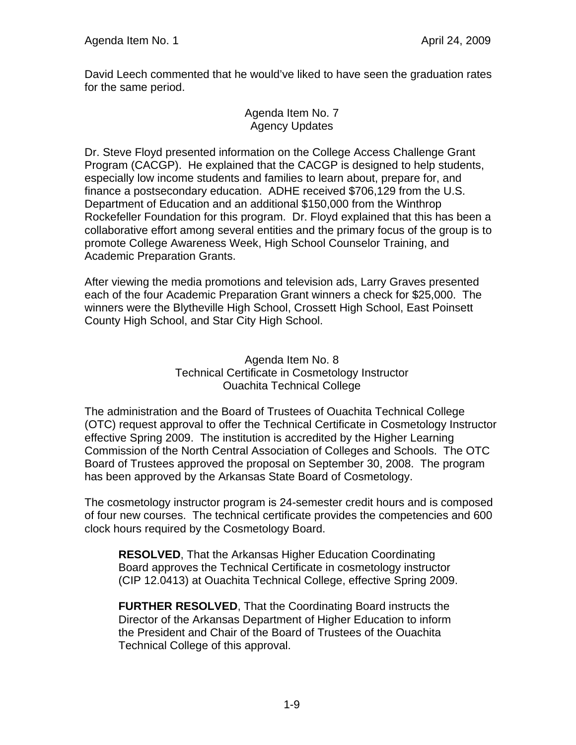David Leech commented that he would've liked to have seen the graduation rates for the same period.

> Agenda Item No. 7 Agency Updates

Dr. Steve Floyd presented information on the College Access Challenge Grant Program (CACGP). He explained that the CACGP is designed to help students, especially low income students and families to learn about, prepare for, and finance a postsecondary education. ADHE received \$706,129 from the U.S. Department of Education and an additional \$150,000 from the Winthrop Rockefeller Foundation for this program. Dr. Floyd explained that this has been a collaborative effort among several entities and the primary focus of the group is to promote College Awareness Week, High School Counselor Training, and Academic Preparation Grants.

After viewing the media promotions and television ads, Larry Graves presented each of the four Academic Preparation Grant winners a check for \$25,000. The winners were the Blytheville High School, Crossett High School, East Poinsett County High School, and Star City High School.

> Agenda Item No. 8 Technical Certificate in Cosmetology Instructor Ouachita Technical College

The administration and the Board of Trustees of Ouachita Technical College (OTC) request approval to offer the Technical Certificate in Cosmetology Instructor effective Spring 2009. The institution is accredited by the Higher Learning Commission of the North Central Association of Colleges and Schools. The OTC Board of Trustees approved the proposal on September 30, 2008. The program has been approved by the Arkansas State Board of Cosmetology.

The cosmetology instructor program is 24-semester credit hours and is composed of four new courses. The technical certificate provides the competencies and 600 clock hours required by the Cosmetology Board.

**RESOLVED**, That the Arkansas Higher Education Coordinating Board approves the Technical Certificate in cosmetology instructor (CIP 12.0413) at Ouachita Technical College, effective Spring 2009.

**FURTHER RESOLVED**, That the Coordinating Board instructs the Director of the Arkansas Department of Higher Education to inform the President and Chair of the Board of Trustees of the Ouachita Technical College of this approval.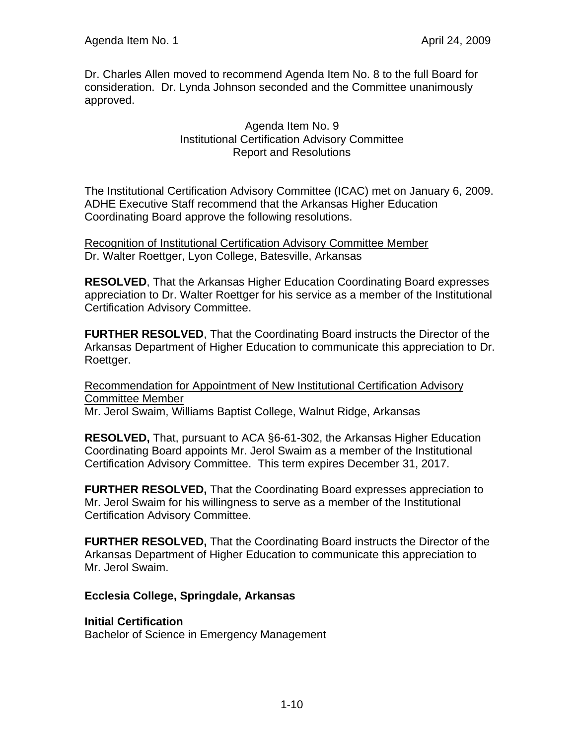Dr. Charles Allen moved to recommend Agenda Item No. 8 to the full Board for consideration. Dr. Lynda Johnson seconded and the Committee unanimously approved.

> Agenda Item No. 9 Institutional Certification Advisory Committee Report and Resolutions

The Institutional Certification Advisory Committee (ICAC) met on January 6, 2009. ADHE Executive Staff recommend that the Arkansas Higher Education Coordinating Board approve the following resolutions.

Recognition of Institutional Certification Advisory Committee Member Dr. Walter Roettger, Lyon College, Batesville, Arkansas

**RESOLVED**, That the Arkansas Higher Education Coordinating Board expresses appreciation to Dr. Walter Roettger for his service as a member of the Institutional Certification Advisory Committee.

**FURTHER RESOLVED**, That the Coordinating Board instructs the Director of the Arkansas Department of Higher Education to communicate this appreciation to Dr. Roettger.

Recommendation for Appointment of New Institutional Certification Advisory Committee Member Mr. Jerol Swaim, Williams Baptist College, Walnut Ridge, Arkansas

**RESOLVED,** That, pursuant to ACA §6-61-302, the Arkansas Higher Education Coordinating Board appoints Mr. Jerol Swaim as a member of the Institutional Certification Advisory Committee. This term expires December 31, 2017.

**FURTHER RESOLVED,** That the Coordinating Board expresses appreciation to Mr. Jerol Swaim for his willingness to serve as a member of the Institutional Certification Advisory Committee.

**FURTHER RESOLVED,** That the Coordinating Board instructs the Director of the Arkansas Department of Higher Education to communicate this appreciation to Mr. Jerol Swaim.

## **Ecclesia College, Springdale, Arkansas**

## **Initial Certification**

Bachelor of Science in Emergency Management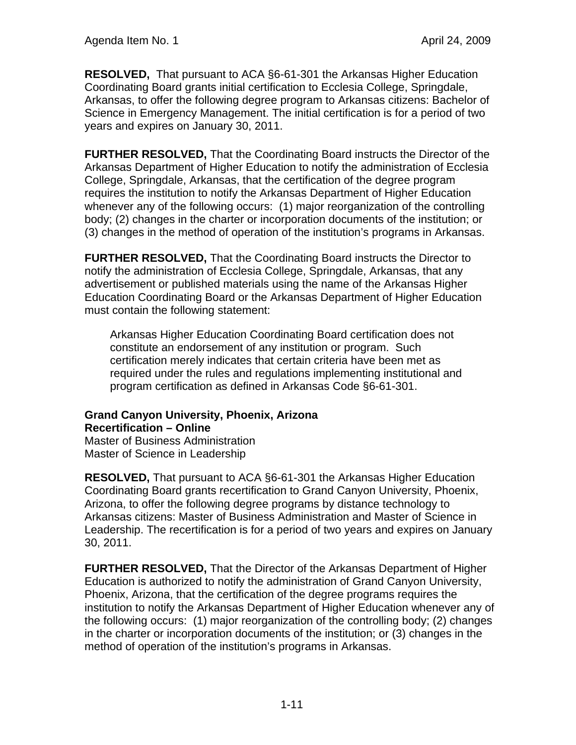**RESOLVED,** That pursuant to ACA §6-61-301 the Arkansas Higher Education Coordinating Board grants initial certification to Ecclesia College, Springdale, Arkansas, to offer the following degree program to Arkansas citizens: Bachelor of Science in Emergency Management. The initial certification is for a period of two years and expires on January 30, 2011.

**FURTHER RESOLVED,** That the Coordinating Board instructs the Director of the Arkansas Department of Higher Education to notify the administration of Ecclesia College, Springdale, Arkansas, that the certification of the degree program requires the institution to notify the Arkansas Department of Higher Education whenever any of the following occurs: (1) major reorganization of the controlling body; (2) changes in the charter or incorporation documents of the institution; or (3) changes in the method of operation of the institution's programs in Arkansas.

**FURTHER RESOLVED,** That the Coordinating Board instructs the Director to notify the administration of Ecclesia College, Springdale, Arkansas, that any advertisement or published materials using the name of the Arkansas Higher Education Coordinating Board or the Arkansas Department of Higher Education must contain the following statement:

Arkansas Higher Education Coordinating Board certification does not constitute an endorsement of any institution or program. Such certification merely indicates that certain criteria have been met as required under the rules and regulations implementing institutional and program certification as defined in Arkansas Code §6-61-301.

# **Grand Canyon University, Phoenix, Arizona Recertification – Online**

Master of Business Administration Master of Science in Leadership

**RESOLVED,** That pursuant to ACA §6-61-301 the Arkansas Higher Education Coordinating Board grants recertification to Grand Canyon University, Phoenix, Arizona, to offer the following degree programs by distance technology to Arkansas citizens: Master of Business Administration and Master of Science in Leadership. The recertification is for a period of two years and expires on January 30, 2011.

**FURTHER RESOLVED,** That the Director of the Arkansas Department of Higher Education is authorized to notify the administration of Grand Canyon University, Phoenix, Arizona, that the certification of the degree programs requires the institution to notify the Arkansas Department of Higher Education whenever any of the following occurs: (1) major reorganization of the controlling body; (2) changes in the charter or incorporation documents of the institution; or (3) changes in the method of operation of the institution's programs in Arkansas.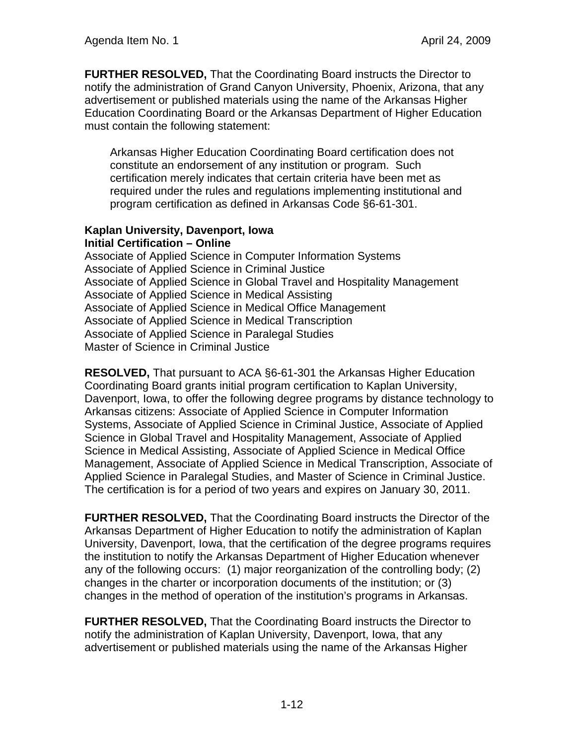**FURTHER RESOLVED,** That the Coordinating Board instructs the Director to notify the administration of Grand Canyon University, Phoenix, Arizona, that any advertisement or published materials using the name of the Arkansas Higher Education Coordinating Board or the Arkansas Department of Higher Education must contain the following statement:

Arkansas Higher Education Coordinating Board certification does not constitute an endorsement of any institution or program. Such certification merely indicates that certain criteria have been met as required under the rules and regulations implementing institutional and program certification as defined in Arkansas Code §6-61-301.

#### **Kaplan University, Davenport, Iowa Initial Certification – Online**

Associate of Applied Science in Computer Information Systems Associate of Applied Science in Criminal Justice Associate of Applied Science in Global Travel and Hospitality Management Associate of Applied Science in Medical Assisting Associate of Applied Science in Medical Office Management Associate of Applied Science in Medical Transcription Associate of Applied Science in Paralegal Studies Master of Science in Criminal Justice

**RESOLVED,** That pursuant to ACA §6-61-301 the Arkansas Higher Education Coordinating Board grants initial program certification to Kaplan University, Davenport, Iowa, to offer the following degree programs by distance technology to Arkansas citizens: Associate of Applied Science in Computer Information Systems, Associate of Applied Science in Criminal Justice, Associate of Applied Science in Global Travel and Hospitality Management, Associate of Applied Science in Medical Assisting, Associate of Applied Science in Medical Office Management, Associate of Applied Science in Medical Transcription, Associate of Applied Science in Paralegal Studies, and Master of Science in Criminal Justice. The certification is for a period of two years and expires on January 30, 2011.

**FURTHER RESOLVED,** That the Coordinating Board instructs the Director of the Arkansas Department of Higher Education to notify the administration of Kaplan University, Davenport, Iowa, that the certification of the degree programs requires the institution to notify the Arkansas Department of Higher Education whenever any of the following occurs: (1) major reorganization of the controlling body; (2) changes in the charter or incorporation documents of the institution; or (3) changes in the method of operation of the institution's programs in Arkansas.

**FURTHER RESOLVED,** That the Coordinating Board instructs the Director to notify the administration of Kaplan University, Davenport, Iowa, that any advertisement or published materials using the name of the Arkansas Higher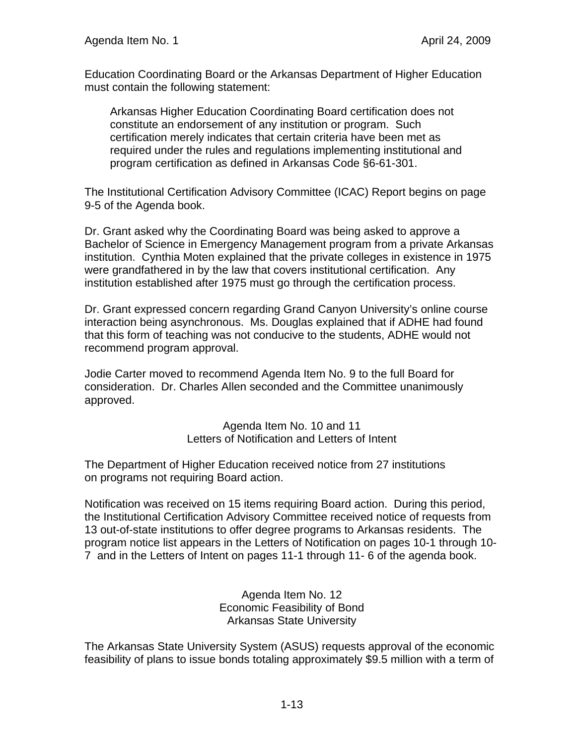Education Coordinating Board or the Arkansas Department of Higher Education must contain the following statement:

Arkansas Higher Education Coordinating Board certification does not constitute an endorsement of any institution or program. Such certification merely indicates that certain criteria have been met as required under the rules and regulations implementing institutional and program certification as defined in Arkansas Code §6-61-301.

The Institutional Certification Advisory Committee (ICAC) Report begins on page 9-5 of the Agenda book.

Dr. Grant asked why the Coordinating Board was being asked to approve a Bachelor of Science in Emergency Management program from a private Arkansas institution. Cynthia Moten explained that the private colleges in existence in 1975 were grandfathered in by the law that covers institutional certification. Any institution established after 1975 must go through the certification process.

Dr. Grant expressed concern regarding Grand Canyon University's online course interaction being asynchronous. Ms. Douglas explained that if ADHE had found that this form of teaching was not conducive to the students, ADHE would not recommend program approval.

Jodie Carter moved to recommend Agenda Item No. 9 to the full Board for consideration. Dr. Charles Allen seconded and the Committee unanimously approved.

> Agenda Item No. 10 and 11 Letters of Notification and Letters of Intent

The Department of Higher Education received notice from 27 institutions on programs not requiring Board action.

Notification was received on 15 items requiring Board action. During this period, the Institutional Certification Advisory Committee received notice of requests from 13 out-of-state institutions to offer degree programs to Arkansas residents. The program notice list appears in the Letters of Notification on pages 10-1 through 10- 7 and in the Letters of Intent on pages 11-1 through 11- 6 of the agenda book.

> Agenda Item No. 12 Economic Feasibility of Bond Arkansas State University

The Arkansas State University System (ASUS) requests approval of the economic feasibility of plans to issue bonds totaling approximately \$9.5 million with a term of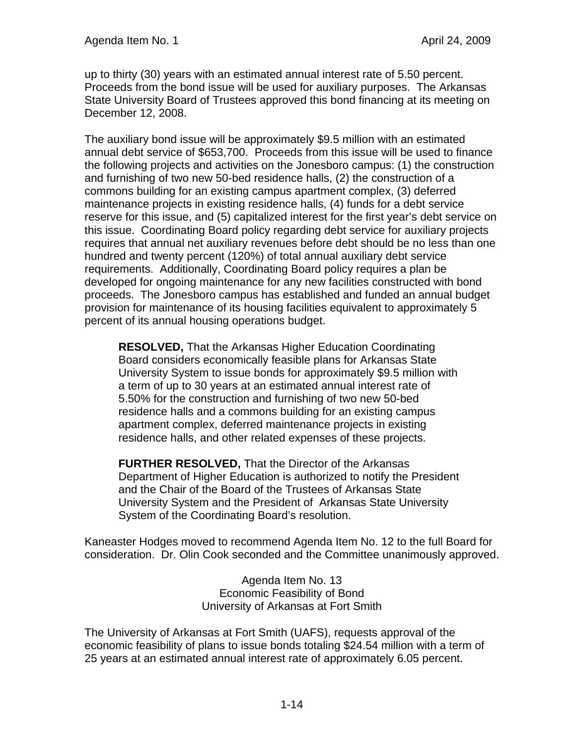up to thirty (30) years with an estimated annual interest rate of 5.50 percent. Proceeds from the bond issue will be used for auxiliary purposes. The Arkansas State University Board of Trustees approved this bond financing at its meeting on December 12, 2008.

The auxiliary bond issue will be approximately \$9.5 million with an estimated annual debt service of \$653,700. Proceeds from this issue will be used to finance the following projects and activities on the Jonesboro campus: (1) the construction and furnishing of two new 50-bed residence halls, (2) the construction of a commons building for an existing campus apartment complex, (3) deferred maintenance projects in existing residence halls, (4) funds for a debt service reserve for this issue, and (5) capitalized interest for the first year's debt service on this issue. Coordinating Board policy regarding debt service for auxiliary projects requires that annual net auxiliary revenues before debt should be no less than one hundred and twenty percent (120%) of total annual auxiliary debt service requirements. Additionally, Coordinating Board policy requires a plan be developed for ongoing maintenance for any new facilities constructed with bond proceeds. The Jonesboro campus has established and funded an annual budget provision for maintenance of its housing facilities equivalent to approximately 5 percent of its annual housing operations budget.

**RESOLVED,** That the Arkansas Higher Education Coordinating Board considers economically feasible plans for Arkansas State University System to issue bonds for approximately \$9.5 million with a term of up to 30 years at an estimated annual interest rate of 5.50% for the construction and furnishing of two new 50-bed residence halls and a commons building for an existing campus apartment complex, deferred maintenance projects in existing residence halls, and other related expenses of these projects.

**FURTHER RESOLVED,** That the Director of the Arkansas Department of Higher Education is authorized to notify the President and the Chair of the Board of the Trustees of Arkansas State University System and the President of Arkansas State University System of the Coordinating Board's resolution.

Kaneaster Hodges moved to recommend Agenda Item No. 12 to the full Board for consideration. Dr. Olin Cook seconded and the Committee unanimously approved.

> Agenda Item No. 13 Economic Feasibility of Bond University of Arkansas at Fort Smith

The University of Arkansas at Fort Smith (UAFS), requests approval of the economic feasibility of plans to issue bonds totaling \$24.54 million with a term of 25 years at an estimated annual interest rate of approximately 6.05 percent.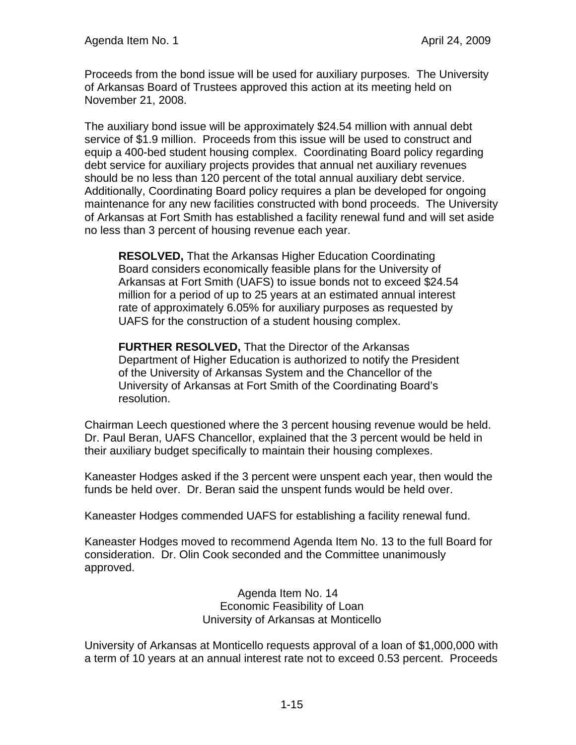Proceeds from the bond issue will be used for auxiliary purposes. The University of Arkansas Board of Trustees approved this action at its meeting held on November 21, 2008.

The auxiliary bond issue will be approximately \$24.54 million with annual debt service of \$1.9 million. Proceeds from this issue will be used to construct and equip a 400-bed student housing complex. Coordinating Board policy regarding debt service for auxiliary projects provides that annual net auxiliary revenues should be no less than 120 percent of the total annual auxiliary debt service. Additionally, Coordinating Board policy requires a plan be developed for ongoing maintenance for any new facilities constructed with bond proceeds. The University of Arkansas at Fort Smith has established a facility renewal fund and will set aside no less than 3 percent of housing revenue each year.

**RESOLVED,** That the Arkansas Higher Education Coordinating Board considers economically feasible plans for the University of Arkansas at Fort Smith (UAFS) to issue bonds not to exceed \$24.54 million for a period of up to 25 years at an estimated annual interest rate of approximately 6.05% for auxiliary purposes as requested by UAFS for the construction of a student housing complex.

**FURTHER RESOLVED,** That the Director of the Arkansas Department of Higher Education is authorized to notify the President of the University of Arkansas System and the Chancellor of the University of Arkansas at Fort Smith of the Coordinating Board's resolution.

Chairman Leech questioned where the 3 percent housing revenue would be held. Dr. Paul Beran, UAFS Chancellor, explained that the 3 percent would be held in their auxiliary budget specifically to maintain their housing complexes.

Kaneaster Hodges asked if the 3 percent were unspent each year, then would the funds be held over. Dr. Beran said the unspent funds would be held over.

Kaneaster Hodges commended UAFS for establishing a facility renewal fund.

Kaneaster Hodges moved to recommend Agenda Item No. 13 to the full Board for consideration. Dr. Olin Cook seconded and the Committee unanimously approved.

> Agenda Item No. 14 Economic Feasibility of Loan University of Arkansas at Monticello

University of Arkansas at Monticello requests approval of a loan of \$1,000,000 with a term of 10 years at an annual interest rate not to exceed 0.53 percent. Proceeds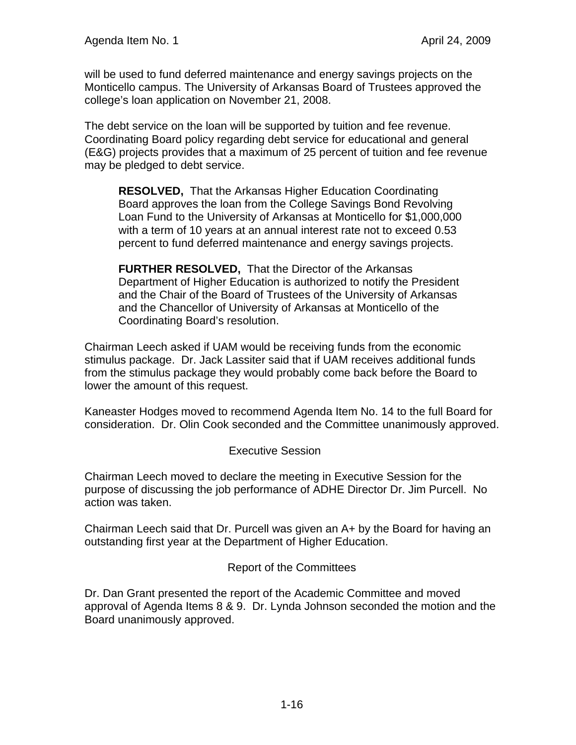will be used to fund deferred maintenance and energy savings projects on the Monticello campus. The University of Arkansas Board of Trustees approved the college's loan application on November 21, 2008.

The debt service on the loan will be supported by tuition and fee revenue. Coordinating Board policy regarding debt service for educational and general (E&G) projects provides that a maximum of 25 percent of tuition and fee revenue may be pledged to debt service.

**RESOLVED,** That the Arkansas Higher Education Coordinating Board approves the loan from the College Savings Bond Revolving Loan Fund to the University of Arkansas at Monticello for \$1,000,000 with a term of 10 years at an annual interest rate not to exceed 0.53 percent to fund deferred maintenance and energy savings projects.

**FURTHER RESOLVED,** That the Director of the Arkansas Department of Higher Education is authorized to notify the President and the Chair of the Board of Trustees of the University of Arkansas and the Chancellor of University of Arkansas at Monticello of the Coordinating Board's resolution.

Chairman Leech asked if UAM would be receiving funds from the economic stimulus package. Dr. Jack Lassiter said that if UAM receives additional funds from the stimulus package they would probably come back before the Board to lower the amount of this request.

Kaneaster Hodges moved to recommend Agenda Item No. 14 to the full Board for consideration. Dr. Olin Cook seconded and the Committee unanimously approved.

## Executive Session

Chairman Leech moved to declare the meeting in Executive Session for the purpose of discussing the job performance of ADHE Director Dr. Jim Purcell. No action was taken.

Chairman Leech said that Dr. Purcell was given an A+ by the Board for having an outstanding first year at the Department of Higher Education.

## Report of the Committees

Dr. Dan Grant presented the report of the Academic Committee and moved approval of Agenda Items 8 & 9. Dr. Lynda Johnson seconded the motion and the Board unanimously approved.